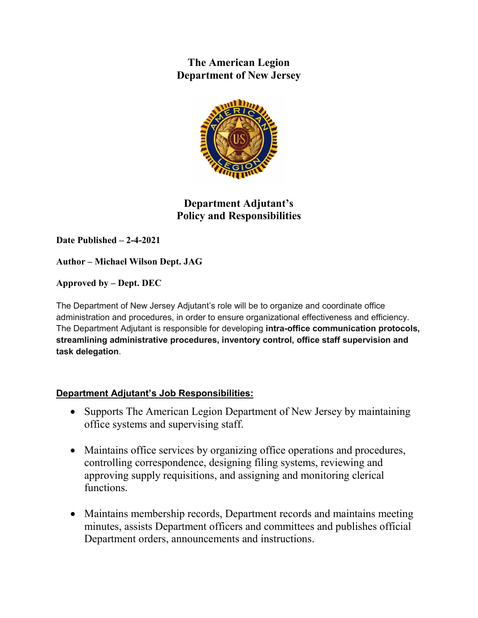**The American Legion Department of New Jersey**



**Department Adjutant's Policy and Responsibilities**

**Date Published – 2-4-2021**

**Author – Michael Wilson Dept. JAG**

**Approved by – Dept. DEC**

The Department of New Jersey Adjutant's role will be to organize and coordinate office administration and procedures, in order to ensure organizational effectiveness and efficiency. The Department Adjutant is responsible for developing **intra-office communication protocols, streamlining administrative procedures, inventory control, office staff supervision and task delegation**.

## **Department Adjutant's Job Responsibilities:**

- Supports The American Legion Department of New Jersey by maintaining office systems and supervising staff.
- Maintains office services by organizing office operations and procedures, controlling correspondence, designing filing systems, reviewing and approving supply requisitions, and assigning and monitoring clerical functions.
- Maintains membership records, Department records and maintains meeting minutes, assists Department officers and committees and publishes official Department orders, announcements and instructions.